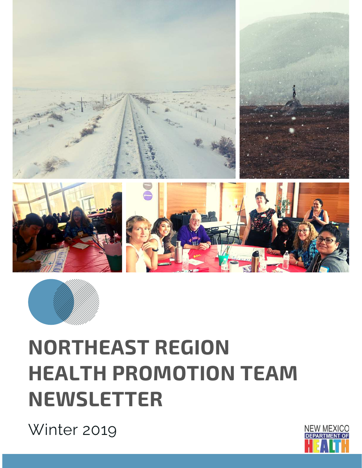



# **NORTHEAST REGION HEALTH PROMOTION TEAM NEWSLETTER**

Winter 2019

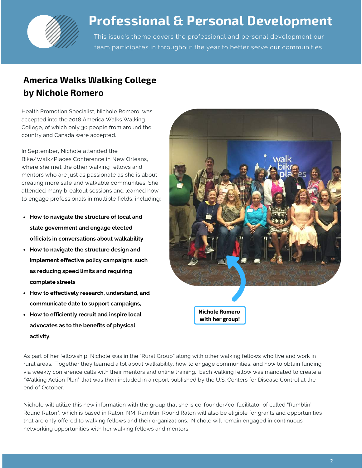

## **Professional & Personal Development**

This issue's theme covers the professional and personal development our team participates in throughout the year to better serve our communities.

## **America Walks Walking College by Nichole Romero**

Health Promotion Specialist, Nichole Romero, was accepted into the 2018 America Walks Walking College, of which only 30 people from around the country and Canada were accepted.

In September, Nichole attended the Bike/Walk/Places Conference in New Orleans, where she met the other walking fellows and mentors who are just as passionate as she is about creating more safe and walkable communities. She attended many breakout sessions and learned how to engage professionals in multiple fields, including:

- **How to navigate the structure of local and state government and engage elected officials in conversations about walkability**
- **How to navigate the structure design and implement effective policy campaigns, such as reducing speed limits and requiring complete streets**
- **How to effectively research, understand, and communicate date to support campaigns,**
- **How to efficiently recruit and inspire local advocates as to the benefits of physical activity.**



As part of her fellowship, Nichole was in the "Rural Group" along with other walking fellows who live and work in rural areas. Together they learned a lot about walkability, how to engage communities, and how to obtain funding via weekly conference calls with their mentors and online training. Each walking fellow was mandated to create a "Walking Action Plan" that was then included in a report published by the U.S. Centers for Disease Control at the end of October.

Nichole will utilize this new information with the group that she is co-founder/co-facilitator of called "Ramblin' Round Raton", which is based in Raton, NM. Ramblin' Round Raton will also be eligible for grants and opportunities that are only offered to walking fellows and their organizations. Nichole will remain engaged in continuous networking opportunities with her walking fellows and mentors.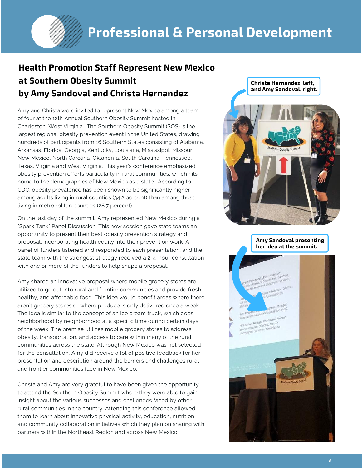## **Health Promotion Staff Represent New Mexico at Southern Obesity Summit by Amy Sandoval and Christa Hernandez**

Amy and Christa were invited to represent New Mexico among a team of four at the 12th Annual Southern Obesity Summit hosted in Charleston, West Virginia. The Southern Obesity Summit (SOS) is the largest regional obesity prevention event in the United States, drawing hundreds of participants from 16 Southern States consisting of Alabama, Arkansas, Florida, Georgia, Kentucky, Louisiana, Mississippi, Missouri, New Mexico, North Carolina, Oklahoma, South Carolina, Tennessee, Texas, Virginia and West Virginia. This year's conference emphasized obesity prevention efforts particularly in rural communities, which hits home to the demographics of New Mexico as a state. According to CDC, obesity prevalence has been shown to be significantly higher among adults living in rural counties (34.2 percent) than among those living in metropolitan counties (28.7 percent).

On the last day of the summit, Amy represented New Mexico during a "Spark Tank" Panel Discussion. This new session gave state teams an opportunity to present their best obesity prevention strategy and proposal, incorporating health equity into their prevention work. A panel of funders listened and responded to each presentation, and the state team with the strongest strategy received a 2-4-hour consultation with one or more of the funders to help shape a proposal.

Amy shared an innovative proposal where mobile grocery stores are utilized to go out into rural and frontier communities and provide fresh, healthy, and affordable food. This idea would benefit areas where there aren't grocery stores or where produce is only delivered once a week. The idea is similar to the concept of an ice cream truck, which goes neighborhood by neighborhood at a specific time during certain days of the week. The premise utilizes mobile grocery stores to address obesity, transportation, and access to care within many of the rural communities across the state. Although New Mexico was not selected for the consultation, Amy did receive a lot of positive feedback for her presentation and description around the barriers and challenges rural and frontier communities face in New Mexico.

Christa and Amy are very grateful to have been given the opportunity to attend the Southern Obesity Summit where they were able to gain insight about the various successes and challenges faced by other rural communities in the country. Attending this conference allowed them to learn about innovative physical activity, education, nutrition and community collaboration initiatives which they plan on sharing with partners within the Northeast Region and across New Mexico.

**Christa Hernandez, left, and Amy Sandoval, right.**



**Amy Sandoval presenting her idea at the summit.**

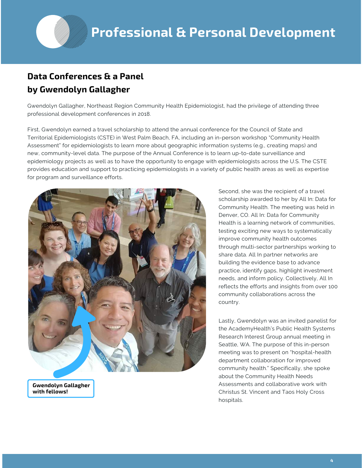### **Data Conferences & a Panel by Gwendolyn Gallagher**

Gwendolyn Gallagher, Northeast Region Community Health Epidemiologist, had the privilege of attending three professional development conferences in 2018.

First, Gwendolyn earned a travel scholarship to attend the annual conference for the Council of State and Territorial Epidemiologists (CSTE) in West Palm Beach, FA, including an in-person workshop "Community Health Assessment" for epidemiologists to learn more about geographic information systems (e.g., creating maps) and new, community-level data. The purpose of the Annual Conference is to learn up-to-date surveillance and epidemiology projects as well as to have the opportunity to engage with epidemiologists across the U.S. The CSTE provides education and support to practicing epidemiologists in a variety of public health areas as well as expertise for program and surveillance efforts.



**Gwendolyn Gallagher with fellows!**

Second, she was the recipient of a travel scholarship awarded to her by All In: Data for Community Health. The meeting was held in Denver, CO. All In: Data for Community Health is a learning network of communities, testing exciting new ways to systematically improve community health outcomes through multi-sector partnerships working to share data. All In partner networks are building the evidence base to advance practice, identify gaps, highlight investment needs, and inform policy. Collectively, All In reflects the efforts and insights from over 100 community collaborations across the country.

Lastly, Gwendolyn was an invited panelist for the AcademyHealth's Public Health Systems Research Interest Group annual meeting in Seattle, WA. The purpose of this in-person meeting was to present on "hospital-health department collaboration for improved community health." Specifically, she spoke about the Community Health Needs Assessments and collaborative work with Christus St. Vincent and Taos Holy Cross hospitals.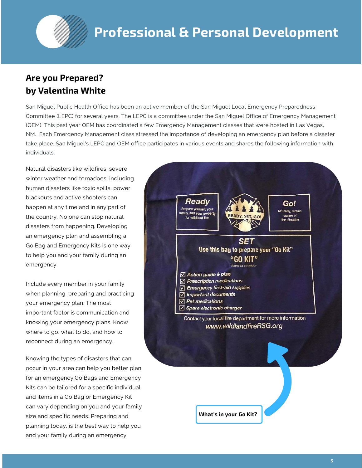#### **Are you Prepared? by Valentina White**

San Miguel Public Health Office has been an active member of the San Miguel Local Emergency Preparedness Committee (LEPC) for several years. The LEPC is a committee under the San Miguel Office of Emergency Management (OEM). This past year OEM has coordinated a few Emergency Management classes that were hosted in Las Vegas, NM. Each Emergency Management class stressed the importance of developing an emergency plan before a disaster take place. San Miguel's LEPC and OEM office participates in various events and shares the following information with individuals.

Natural disasters like wildfires, severe winter weather and tornadoes, including human disasters like toxic spills, power blackouts and active shooters can happen at any time and in any part of the country. No one can stop natural disasters from happening. Developing an emergency plan and assembling a Go Bag and Emergency Kits is one way to help you and your family during an emergency.

Include every member in your family when planning, preparing and practicing your emergency plan. The most important factor is communication and knowing your emergency plans. Know where to go, what to do, and how to reconnect during an emergency.

Knowing the types of disasters that can occur in your area can help you better plan for an emergency.Go Bags and Emergency Kits can be tailored for a specific individual and items in a Go Bag or Emergency Kit can vary depending on you and your family size and specific needs. Preparing and planning today, is the best way to help you and your family during an emergency.

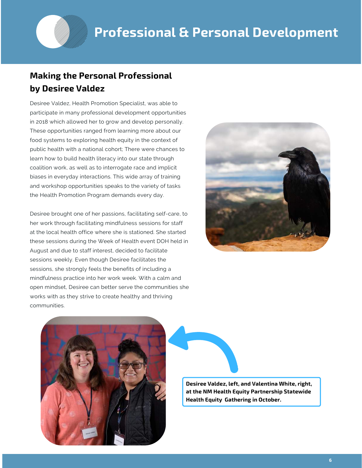#### **Making the Personal Professional by Desiree Valdez**

Desiree Valdez, Health Promotion Specialist, was able to participate in many professional development opportunities in 2018 which allowed her to grow and develop personally. These opportunities ranged from learning more about our food systems to exploring health equity in the context of public health with a national cohort; There were chances to learn how to build health literacy into our state through coalition work, as well as to interrogate race and implicit biases in everyday interactions. This wide array of training and workshop opportunities speaks to the variety of tasks the Health Promotion Program demands every day.

Desiree brought one of her passions, facilitating self-care, to her work through facilitating mindfulness sessions for staff at the local health office where she is stationed. She started these sessions during the Week of Health event DOH held in August and due to staff interest, decided to facilitate sessions weekly. Even though Desiree facilitates the sessions, she strongly feels the benefits of including a mindfulness practice into her work week. With a calm and open mindset, Desiree can better serve the communities she works with as they strive to create healthy and thriving communities.





**Desiree Valdez, left, and Valentina White, right, at the NM Health Equity Partnership Statewide Health Equity Gathering in October.**